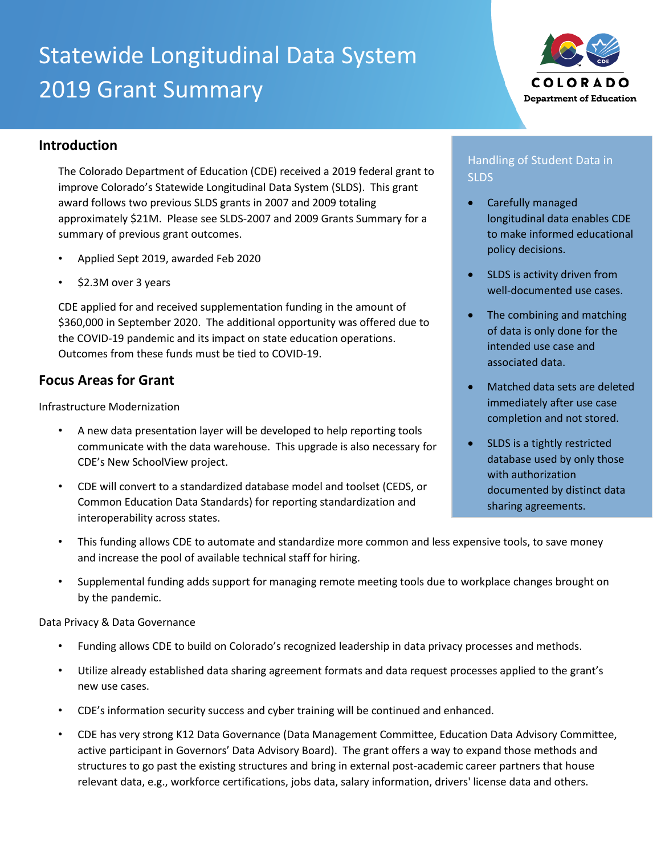# Statewide Longitudinal Data System 2019 Grant Summary



## **Introduction**

The Colorado Department of Education (CDE) received a 2019 federal grant to improve Colorado's Statewide Longitudinal Data System (SLDS). This grant award follows two previous SLDS grants in 2007 and 2009 totaling approximately \$21M. Please see SLDS-2007 and 2009 Grants Summary for a summary of previous grant outcomes.

- Applied Sept 2019, awarded Feb 2020
- \$2.3M over 3 years

CDE applied for and received supplementation funding in the amount of \$360,000 in September 2020. The additional opportunity was offered due to the COVID-19 pandemic and its impact on state education operations. Outcomes from these funds must be tied to COVID-19.

## **Focus Areas for Grant**

Infrastructure Modernization

- A new data presentation layer will be developed to help reporting tools communicate with the data warehouse. This upgrade is also necessary for CDE's New SchoolView project.
- CDE will convert to a standardized database model and toolset (CEDS, or Common Education Data Standards) for reporting standardization and interoperability across states.

## Handling of Student Data in SLDS

- Carefully managed longitudinal data enables CDE to make informed educational policy decisions.
- SLDS is activity driven from well-documented use cases.
- The combining and matching of data is only done for the intended use case and associated data.
- Matched data sets are deleted immediately after use case completion and not stored.
- SLDS is a tightly restricted database used by only those with authorization documented by distinct data sharing agreements.
- This funding allows CDE to automate and standardize more common and less expensive tools, to save money and increase the pool of available technical staff for hiring.
- Supplemental funding adds support for managing remote meeting tools due to workplace changes brought on by the pandemic.

Data Privacy & Data Governance

- Funding allows CDE to build on Colorado's recognized leadership in data privacy processes and methods.
- Utilize already established data sharing agreement formats and data request processes applied to the grant's new use cases.
- CDE's information security success and cyber training will be continued and enhanced.
- CDE has very strong K12 Data Governance (Data Management Committee, Education Data Advisory Committee, active participant in Governors' Data Advisory Board). The grant offers a way to expand those methods and structures to go past the existing structures and bring in external post-academic career partners that house relevant data, e.g., workforce certifications, jobs data, salary information, drivers' license data and others.